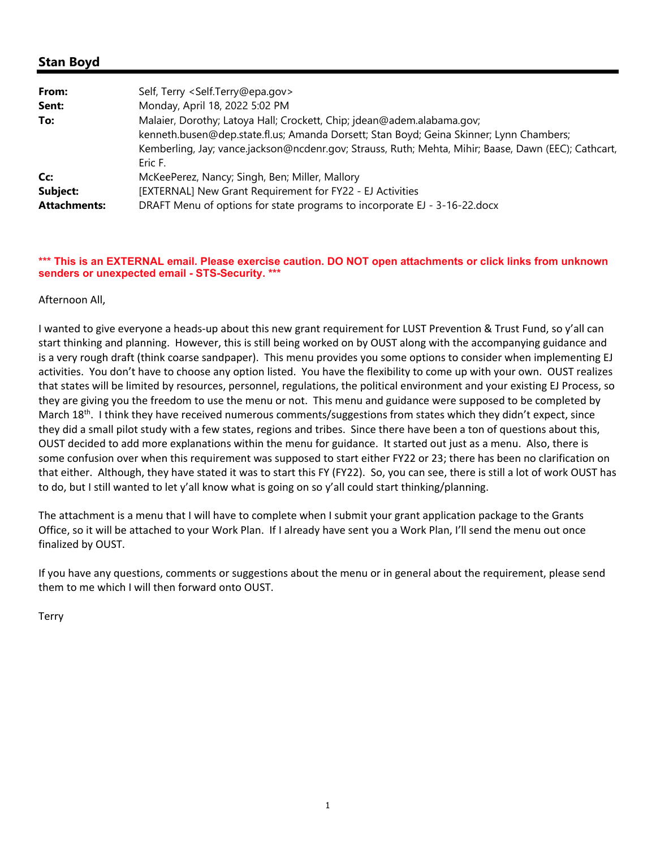# **Stan Boyd**

| From:               | Self, Terry <self.terry@epa.gov></self.terry@epa.gov>                                                |
|---------------------|------------------------------------------------------------------------------------------------------|
| Sent:               | Monday, April 18, 2022 5:02 PM                                                                       |
| To:                 | Malaier, Dorothy; Latoya Hall; Crockett, Chip; jdean@adem.alabama.gov;                               |
|                     | kenneth.busen@dep.state.fl.us; Amanda Dorsett; Stan Boyd; Geina Skinner; Lynn Chambers;              |
|                     | Kemberling, Jay; vance.jackson@ncdenr.gov; Strauss, Ruth; Mehta, Mihir; Baase, Dawn (EEC); Cathcart, |
|                     | Eric F.                                                                                              |
| Cc:                 | McKeePerez, Nancy; Singh, Ben; Miller, Mallory                                                       |
| Subject:            | [EXTERNAL] New Grant Requirement for FY22 - EJ Activities                                            |
| <b>Attachments:</b> | DRAFT Menu of options for state programs to incorporate EJ - 3-16-22.docx                            |

#### **\*\*\* This is an EXTERNAL email. Please exercise caution. DO NOT open attachments or click links from unknown senders or unexpected email - STS-Security. \*\*\***

Afternoon All,

I wanted to give everyone a heads-up about this new grant requirement for LUST Prevention & Trust Fund, so y'all can start thinking and planning. However, this is still being worked on by OUST along with the accompanying guidance and is a very rough draft (think coarse sandpaper). This menu provides you some options to consider when implementing EJ activities. You don't have to choose any option listed. You have the flexibility to come up with your own. OUST realizes that states will be limited by resources, personnel, regulations, the political environment and your existing EJ Process, so they are giving you the freedom to use the menu or not. This menu and guidance were supposed to be completed by March 18<sup>th</sup>. I think they have received numerous comments/suggestions from states which they didn't expect, since they did a small pilot study with a few states, regions and tribes. Since there have been a ton of questions about this, OUST decided to add more explanations within the menu for guidance. It started out just as a menu. Also, there is some confusion over when this requirement was supposed to start either FY22 or 23; there has been no clarification on that either. Although, they have stated it was to start this FY (FY22). So, you can see, there is still a lot of work OUST has to do, but I still wanted to let y'all know what is going on so y'all could start thinking/planning.

The attachment is a menu that I will have to complete when I submit your grant application package to the Grants Office, so it will be attached to your Work Plan. If I already have sent you a Work Plan, I'll send the menu out once finalized by OUST.

If you have any questions, comments or suggestions about the menu or in general about the requirement, please send them to me which I will then forward onto OUST.

Terry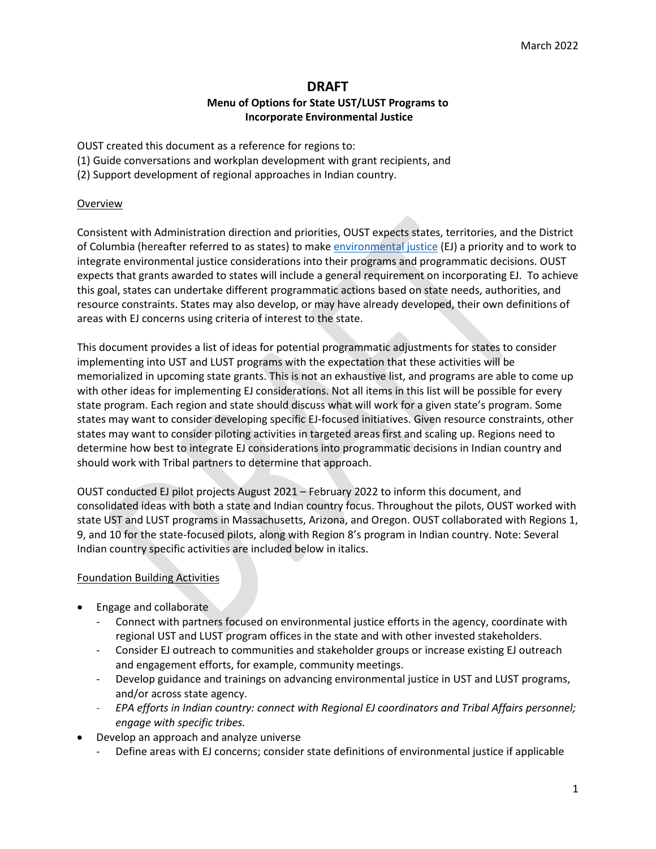## **DRAFT**

## **Menu of Options for State UST/LUST Programs to Incorporate Environmental Justice**

OUST created this document as a reference for regions to:

- (1) Guide conversations and workplan development with grant recipients, and
- (2) Support development of regional approaches in Indian country.

#### Overview

Consistent with Administration direction and priorities, OUST expects states, territories, and the District of Columbia (hereafter referred to as states) to mak[e environmental justice](https://www.epa.gov/environmentaljustice) (EJ) a priority and to work to integrate environmental justice considerations into their programs and programmatic decisions. OUST expects that grants awarded to states will include a general requirement on incorporating EJ. To achieve this goal, states can undertake different programmatic actions based on state needs, authorities, and resource constraints. States may also develop, or may have already developed, their own definitions of areas with EJ concerns using criteria of interest to the state.

This document provides a list of ideas for potential programmatic adjustments for states to consider implementing into UST and LUST programs with the expectation that these activities will be memorialized in upcoming state grants. This is not an exhaustive list, and programs are able to come up with other ideas for implementing EJ considerations. Not all items in this list will be possible for every state program. Each region and state should discuss what will work for a given state's program. Some states may want to consider developing specific EJ-focused initiatives. Given resource constraints, other states may want to consider piloting activities in targeted areas first and scaling up. Regions need to determine how best to integrate EJ considerations into programmatic decisions in Indian country and should work with Tribal partners to determine that approach.

OUST conducted EJ pilot projects August 2021 – February 2022 to inform this document, and consolidated ideas with both a state and Indian country focus. Throughout the pilots, OUST worked with state UST and LUST programs in Massachusetts, Arizona, and Oregon. OUST collaborated with Regions 1, 9, and 10 for the state-focused pilots, along with Region 8's program in Indian country. Note: Several Indian country specific activities are included below in italics.

### Foundation Building Activities

- Engage and collaborate
	- Connect with partners focused on environmental justice efforts in the agency, coordinate with regional UST and LUST program offices in the state and with other invested stakeholders.
	- Consider EJ outreach to communities and stakeholder groups or increase existing EJ outreach and engagement efforts, for example, community meetings.
	- Develop guidance and trainings on advancing environmental justice in UST and LUST programs, and/or across state agency.
	- *EPA efforts in Indian country: connect with Regional EJ coordinators and Tribal Affairs personnel; engage with specific tribes.*
- Develop an approach and analyze universe
	- Define areas with EJ concerns; consider state definitions of environmental justice if applicable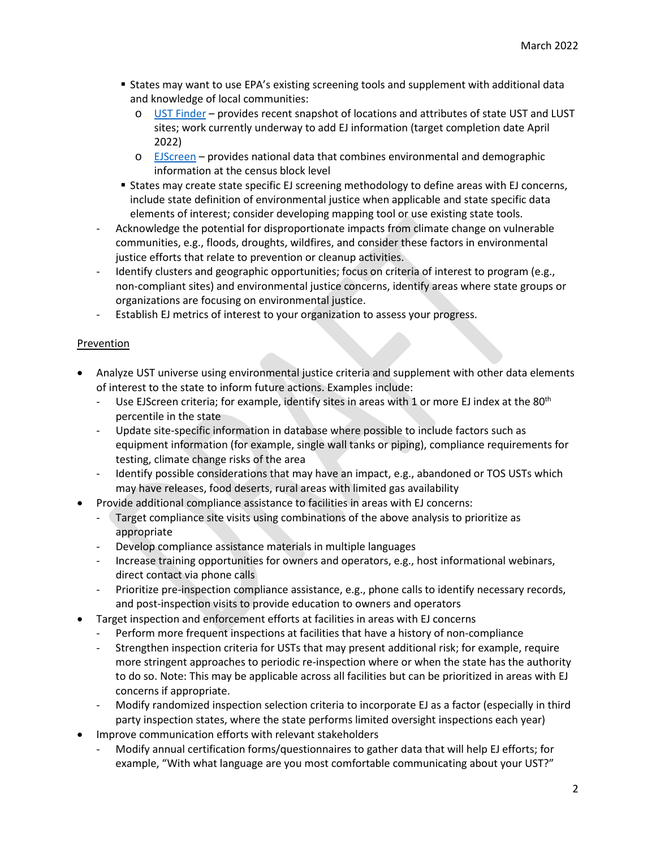- States may want to use EPA's existing screening tools and supplement with additional data and knowledge of local communities:
	- o [UST Finder](https://www.epa.gov/ust/ust-finder) provides recent snapshot of locations and attributes of state UST and LUST sites; work currently underway to add EJ information (target completion date April 2022)
	- o [EJScreen](https://www.epa.gov/ejscreen/environmental-justice-indexes-ejscreen) provides national data that combines environmental and demographic information at the census block level
- **States may create state specific EJ screening methodology to define areas with EJ concerns,** include state definition of environmental justice when applicable and state specific data elements of interest; consider developing mapping tool or use existing state tools.
- Acknowledge the potential for disproportionate impacts from climate change on vulnerable communities, e.g., floods, droughts, wildfires, and consider these factors in environmental justice efforts that relate to prevention or cleanup activities.
- Identify clusters and geographic opportunities; focus on criteria of interest to program (e.g., non-compliant sites) and environmental justice concerns, identify areas where state groups or organizations are focusing on environmental justice.
- Establish EJ metrics of interest to your organization to assess your progress.

## Prevention

- Analyze UST universe using environmental justice criteria and supplement with other data elements of interest to the state to inform future actions. Examples include:
	- Use EJScreen criteria; for example, identify sites in areas with 1 or more EJ index at the 80<sup>th</sup> percentile in the state
	- Update site-specific information in database where possible to include factors such as equipment information (for example, single wall tanks or piping), compliance requirements for testing, climate change risks of the area
	- Identify possible considerations that may have an impact, e.g., abandoned or TOS USTs which may have releases, food deserts, rural areas with limited gas availability
- Provide additional compliance assistance to facilities in areas with EJ concerns:
	- Target compliance site visits using combinations of the above analysis to prioritize as appropriate
	- Develop compliance assistance materials in multiple languages
	- Increase training opportunities for owners and operators, e.g., host informational webinars, direct contact via phone calls
	- Prioritize pre-inspection compliance assistance, e.g., phone calls to identify necessary records, and post-inspection visits to provide education to owners and operators
- Target inspection and enforcement efforts at facilities in areas with EJ concerns
	- Perform more frequent inspections at facilities that have a history of non-compliance
	- Strengthen inspection criteria for USTs that may present additional risk; for example, require more stringent approaches to periodic re-inspection where or when the state has the authority to do so. Note: This may be applicable across all facilities but can be prioritized in areas with EJ concerns if appropriate.
	- Modify randomized inspection selection criteria to incorporate EJ as a factor (especially in third party inspection states, where the state performs limited oversight inspections each year)
- Improve communication efforts with relevant stakeholders
	- Modify annual certification forms/questionnaires to gather data that will help EJ efforts; for example, "With what language are you most comfortable communicating about your UST?"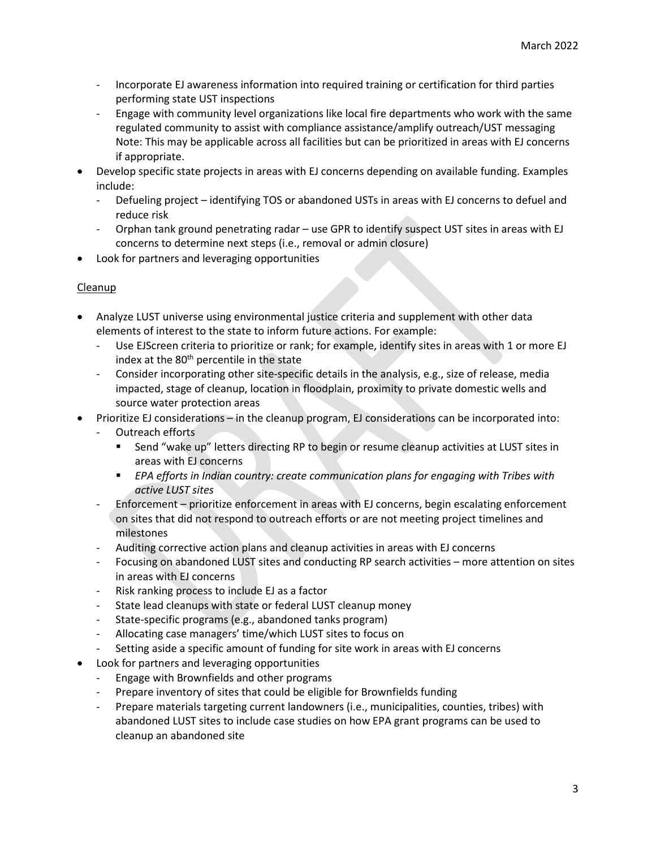- Incorporate EJ awareness information into required training or certification for third parties performing state UST inspections
- Engage with community level organizations like local fire departments who work with the same regulated community to assist with compliance assistance/amplify outreach/UST messaging Note: This may be applicable across all facilities but can be prioritized in areas with EJ concerns if appropriate.
- Develop specific state projects in areas with EJ concerns depending on available funding. Examples include:
	- Defueling project identifying TOS or abandoned USTs in areas with EJ concerns to defuel and reduce risk
	- Orphan tank ground penetrating radar use GPR to identify suspect UST sites in areas with EJ concerns to determine next steps (i.e., removal or admin closure)
- Look for partners and leveraging opportunities

### Cleanup

- Analyze LUST universe using environmental justice criteria and supplement with other data elements of interest to the state to inform future actions. For example:
	- Use EJScreen criteria to prioritize or rank; for example, identify sites in areas with 1 or more EJ index at the 80<sup>th</sup> percentile in the state
	- Consider incorporating other site-specific details in the analysis, e.g., size of release, media impacted, stage of cleanup, location in floodplain, proximity to private domestic wells and source water protection areas
- Prioritize EJ considerations in the cleanup program, EJ considerations can be incorporated into:
	- Outreach efforts
		- **Send "wake up" letters directing RP to begin or resume cleanup activities at LUST sites in** areas with EJ concerns
		- *EPA efforts in Indian country: create communication plans for engaging with Tribes with active LUST sites*
	- Enforcement prioritize enforcement in areas with EJ concerns, begin escalating enforcement on sites that did not respond to outreach efforts or are not meeting project timelines and milestones
	- Auditing corrective action plans and cleanup activities in areas with EJ concerns
	- Focusing on abandoned LUST sites and conducting RP search activities more attention on sites in areas with EJ concerns
	- Risk ranking process to include EJ as a factor
	- State lead cleanups with state or federal LUST cleanup money
	- State-specific programs (e.g., abandoned tanks program)
	- Allocating case managers' time/which LUST sites to focus on
	- Setting aside a specific amount of funding for site work in areas with EJ concerns
- Look for partners and leveraging opportunities
	- Engage with Brownfields and other programs
	- Prepare inventory of sites that could be eligible for Brownfields funding
	- Prepare materials targeting current landowners (i.e., municipalities, counties, tribes) with abandoned LUST sites to include case studies on how EPA grant programs can be used to cleanup an abandoned site